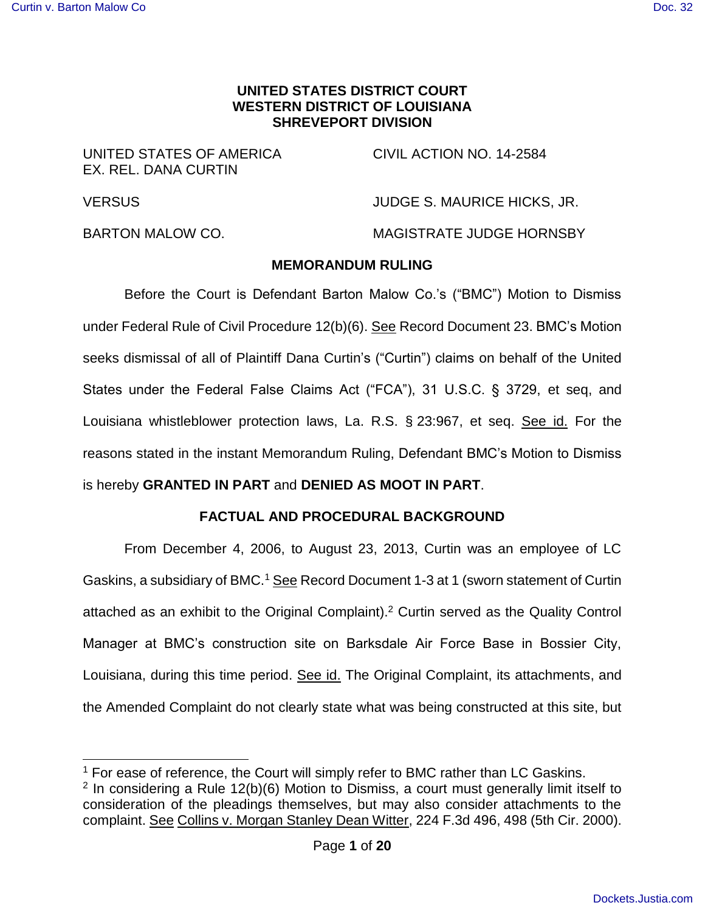## **UNITED STATES DISTRICT COURT WESTERN DISTRICT OF LOUISIANA SHREVEPORT DIVISION**

UNITED STATES OF AMERICA CIVIL ACTION NO. 14-2584 EX. REL. DANA CURTIN

 $\overline{a}$ 

VERSUS JUDGE S. MAURICE HICKS, JR.

#### BARTON MALOW CO. THE STATE MAGISTRATE JUDGE HORNSBY

#### **MEMORANDUM RULING**

 Before the Court is Defendant Barton Malow Co.'s ("BMC") Motion to Dismiss under Federal Rule of Civil Procedure 12(b)(6). See Record Document 23. BMC's Motion seeks dismissal of all of Plaintiff Dana Curtin's ("Curtin") claims on behalf of the United States under the Federal False Claims Act ("FCA"), 31 U.S.C. § 3729, et seq, and Louisiana whistleblower protection laws, La. R.S. § 23:967, et seq. See id. For the reasons stated in the instant Memorandum Ruling, Defendant BMC's Motion to Dismiss is hereby **GRANTED IN PART** and **DENIED AS MOOT IN PART**.

# **FACTUAL AND PROCEDURAL BACKGROUND**

 From December 4, 2006, to August 23, 2013, Curtin was an employee of LC Gaskins, a subsidiary of BMC.<sup>1</sup> See Record Document 1-3 at 1 (sworn statement of Curtin attached as an exhibit to the Original Complaint).<sup>2</sup> Curtin served as the Quality Control Manager at BMC's construction site on Barksdale Air Force Base in Bossier City, Louisiana, during this time period. See id. The Original Complaint, its attachments, and the Amended Complaint do not clearly state what was being constructed at this site, but

<sup>&</sup>lt;sup>1</sup> For ease of reference, the Court will simply refer to BMC rather than LC Gaskins.

<sup>&</sup>lt;sup>2</sup> In considering a Rule 12(b)(6) Motion to Dismiss, a court must generally limit itself to consideration of the pleadings themselves, but may also consider attachments to the complaint. See Collins v. Morgan Stanley Dean Witter, 224 F.3d 496, 498 (5th Cir. 2000).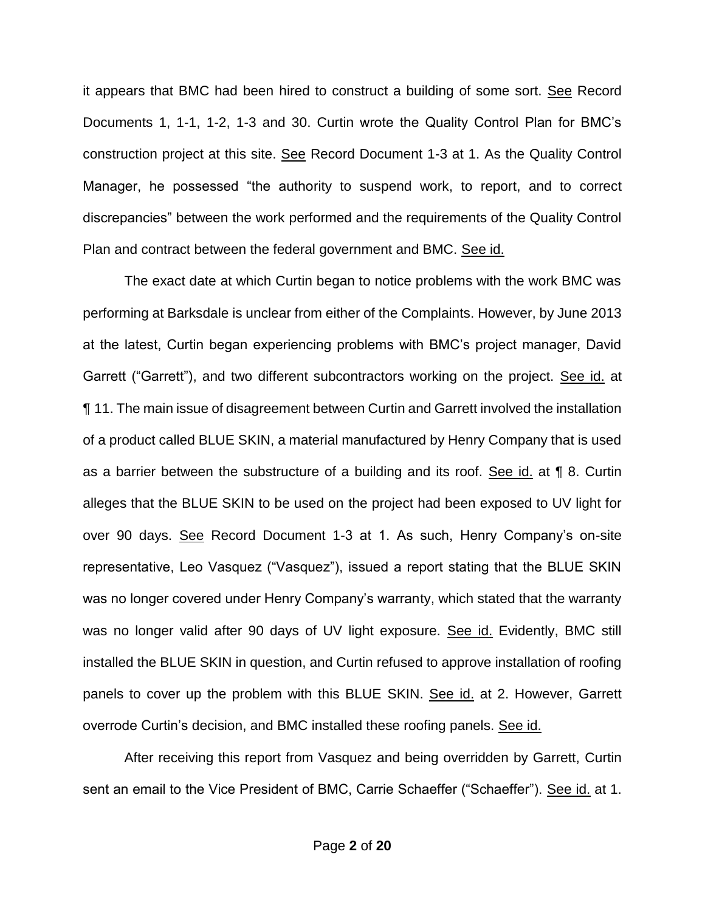it appears that BMC had been hired to construct a building of some sort. See Record Documents 1, 1-1, 1-2, 1-3 and 30. Curtin wrote the Quality Control Plan for BMC's construction project at this site. See Record Document 1-3 at 1. As the Quality Control Manager, he possessed "the authority to suspend work, to report, and to correct discrepancies" between the work performed and the requirements of the Quality Control Plan and contract between the federal government and BMC. See id.

 The exact date at which Curtin began to notice problems with the work BMC was performing at Barksdale is unclear from either of the Complaints. However, by June 2013 at the latest, Curtin began experiencing problems with BMC's project manager, David Garrett ("Garrett"), and two different subcontractors working on the project. See id. at ¶ 11. The main issue of disagreement between Curtin and Garrett involved the installation of a product called BLUE SKIN, a material manufactured by Henry Company that is used as a barrier between the substructure of a building and its roof. See id. at ¶ 8. Curtin alleges that the BLUE SKIN to be used on the project had been exposed to UV light for over 90 days. See Record Document 1-3 at 1. As such, Henry Company's on-site representative, Leo Vasquez ("Vasquez"), issued a report stating that the BLUE SKIN was no longer covered under Henry Company's warranty, which stated that the warranty was no longer valid after 90 days of UV light exposure. See id. Evidently, BMC still installed the BLUE SKIN in question, and Curtin refused to approve installation of roofing panels to cover up the problem with this BLUE SKIN. See id. at 2. However, Garrett overrode Curtin's decision, and BMC installed these roofing panels. See id.

 After receiving this report from Vasquez and being overridden by Garrett, Curtin sent an email to the Vice President of BMC, Carrie Schaeffer ("Schaeffer"). See id. at 1.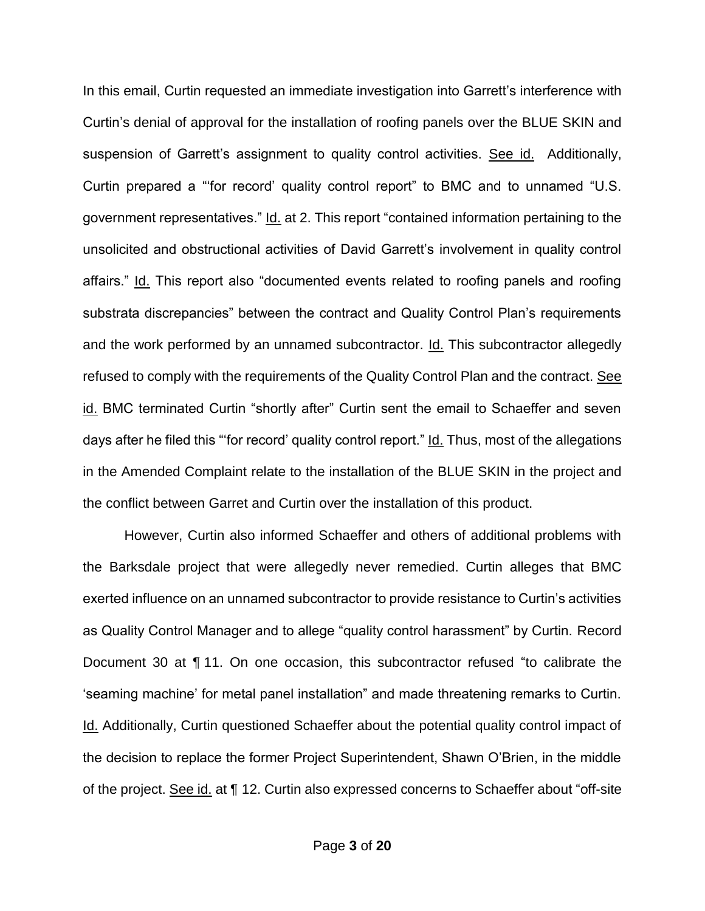In this email, Curtin requested an immediate investigation into Garrett's interference with Curtin's denial of approval for the installation of roofing panels over the BLUE SKIN and suspension of Garrett's assignment to quality control activities. See id. Additionally, Curtin prepared a "'for record' quality control report" to BMC and to unnamed "U.S. government representatives." Id. at 2. This report "contained information pertaining to the unsolicited and obstructional activities of David Garrett's involvement in quality control affairs." Id. This report also "documented events related to roofing panels and roofing substrata discrepancies" between the contract and Quality Control Plan's requirements and the work performed by an unnamed subcontractor. Id. This subcontractor allegedly refused to comply with the requirements of the Quality Control Plan and the contract. See id. BMC terminated Curtin "shortly after" Curtin sent the email to Schaeffer and seven days after he filed this "'for record' quality control report." Id. Thus, most of the allegations in the Amended Complaint relate to the installation of the BLUE SKIN in the project and the conflict between Garret and Curtin over the installation of this product.

 However, Curtin also informed Schaeffer and others of additional problems with the Barksdale project that were allegedly never remedied. Curtin alleges that BMC exerted influence on an unnamed subcontractor to provide resistance to Curtin's activities as Quality Control Manager and to allege "quality control harassment" by Curtin. Record Document 30 at ¶ 11. On one occasion, this subcontractor refused "to calibrate the 'seaming machine' for metal panel installation" and made threatening remarks to Curtin. Id. Additionally, Curtin questioned Schaeffer about the potential quality control impact of the decision to replace the former Project Superintendent, Shawn O'Brien, in the middle of the project. See id. at ¶ 12. Curtin also expressed concerns to Schaeffer about "off-site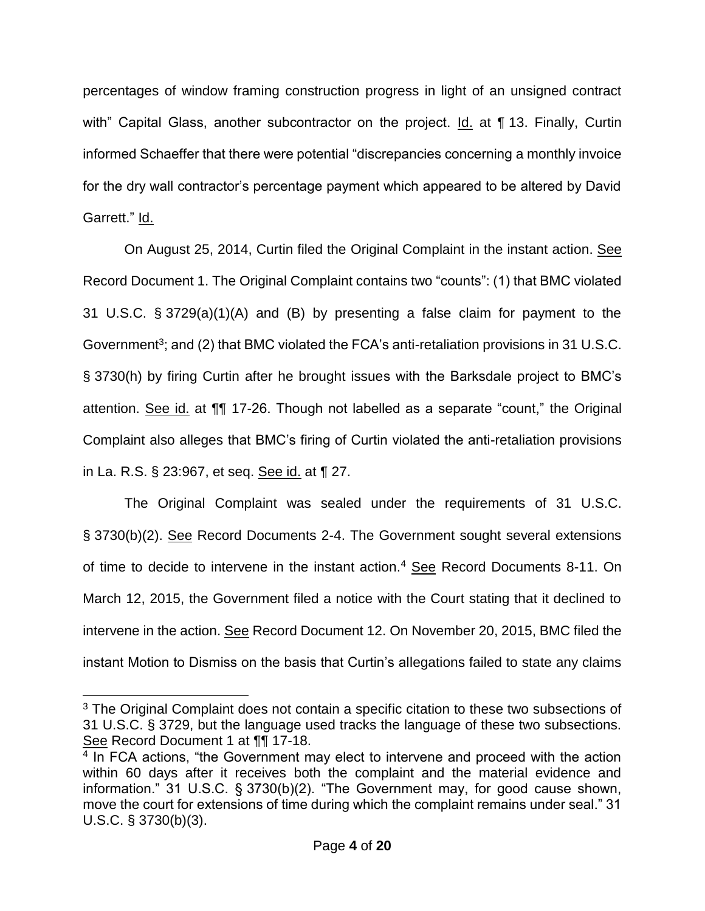percentages of window framing construction progress in light of an unsigned contract with" Capital Glass, another subcontractor on the project. Id. at ¶ 13. Finally, Curtin informed Schaeffer that there were potential "discrepancies concerning a monthly invoice for the dry wall contractor's percentage payment which appeared to be altered by David Garrett." Id.

On August 25, 2014, Curtin filed the Original Complaint in the instant action. See Record Document 1. The Original Complaint contains two "counts": (1) that BMC violated 31 U.S.C. § 3729(a)(1)(A) and (B) by presenting a false claim for payment to the Government<sup>3</sup>; and (2) that BMC violated the FCA's anti-retaliation provisions in 31 U.S.C. § 3730(h) by firing Curtin after he brought issues with the Barksdale project to BMC's attention. See id. at ¶¶ 17-26. Though not labelled as a separate "count," the Original Complaint also alleges that BMC's firing of Curtin violated the anti-retaliation provisions in La. R.S. § 23:967, et seq. See id. at ¶ 27.

The Original Complaint was sealed under the requirements of 31 U.S.C. § 3730(b)(2). See Record Documents 2-4. The Government sought several extensions of time to decide to intervene in the instant action.<sup>4</sup> See Record Documents 8-11. On March 12, 2015, the Government filed a notice with the Court stating that it declined to intervene in the action. See Record Document 12. On November 20, 2015, BMC filed the instant Motion to Dismiss on the basis that Curtin's allegations failed to state any claims

 $\overline{a}$ 

<sup>&</sup>lt;sup>3</sup> The Original Complaint does not contain a specific citation to these two subsections of 31 U.S.C. § 3729, but the language used tracks the language of these two subsections. See Record Document 1 at ¶¶ 17-18.

<sup>&</sup>lt;sup>4</sup> In FCA actions, "the Government may elect to intervene and proceed with the action within 60 days after it receives both the complaint and the material evidence and information." 31 U.S.C. § 3730(b)(2). "The Government may, for good cause shown, move the court for extensions of time during which the complaint remains under seal." 31 U.S.C. § 3730(b)(3).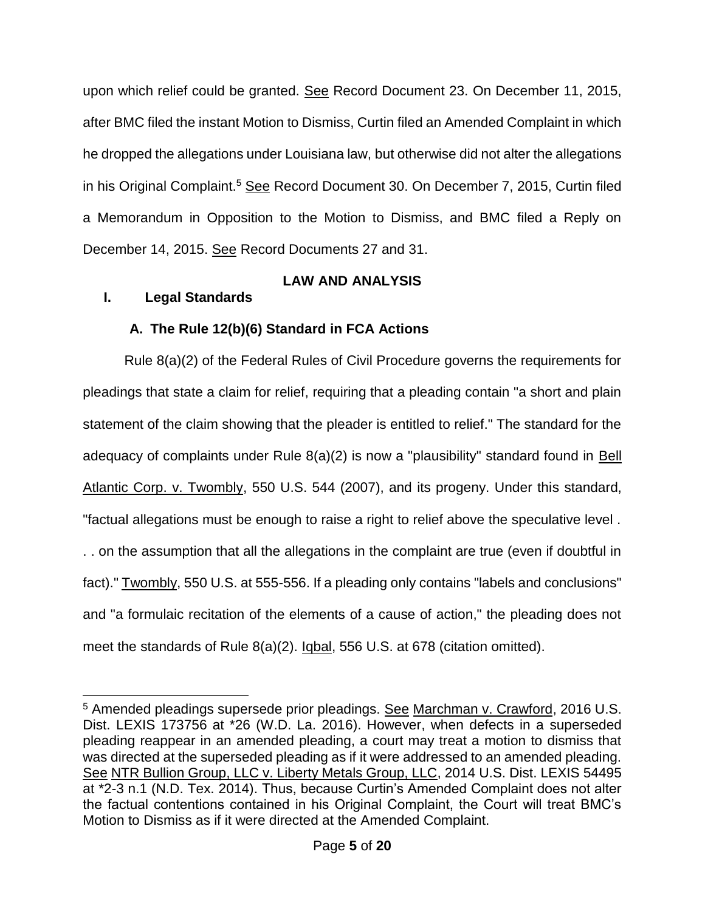upon which relief could be granted. See Record Document 23. On December 11, 2015, after BMC filed the instant Motion to Dismiss, Curtin filed an Amended Complaint in which he dropped the allegations under Louisiana law, but otherwise did not alter the allegations in his Original Complaint.<sup>5</sup> See Record Document 30. On December 7, 2015, Curtin filed a Memorandum in Opposition to the Motion to Dismiss, and BMC filed a Reply on December 14, 2015. See Record Documents 27 and 31.

# **LAW AND ANALYSIS**

# **I. Legal Standards**

 $\overline{a}$ 

# **A. The Rule 12(b)(6) Standard in FCA Actions**

Rule 8(a)(2) of the Federal Rules of Civil Procedure governs the requirements for pleadings that state a claim for relief, requiring that a pleading contain "a short and plain statement of the claim showing that the pleader is entitled to relief." The standard for the adequacy of complaints under Rule 8(a)(2) is now a "plausibility" standard found in Bell Atlantic Corp. v. Twombly, 550 U.S. 544 (2007), and its progeny. Under this standard, "factual allegations must be enough to raise a right to relief above the speculative level . . . on the assumption that all the allegations in the complaint are true (even if doubtful in fact)." Twombly, 550 U.S. at 555-556. If a pleading only contains "labels and conclusions" and "a formulaic recitation of the elements of a cause of action," the pleading does not meet the standards of Rule 8(a)(2). Iqbal, 556 U.S. at 678 (citation omitted).

<sup>&</sup>lt;sup>5</sup> Amended pleadings supersede prior pleadings. See Marchman v. Crawford, 2016 U.S. Dist. LEXIS 173756 at \*26 (W.D. La. 2016). However, when defects in a superseded pleading reappear in an amended pleading, a court may treat a motion to dismiss that was directed at the superseded pleading as if it were addressed to an amended pleading. See NTR Bullion Group, LLC v. Liberty Metals Group, LLC, 2014 U.S. Dist. LEXIS 54495 at \*2-3 n.1 (N.D. Tex. 2014). Thus, because Curtin's Amended Complaint does not alter the factual contentions contained in his Original Complaint, the Court will treat BMC's Motion to Dismiss as if it were directed at the Amended Complaint.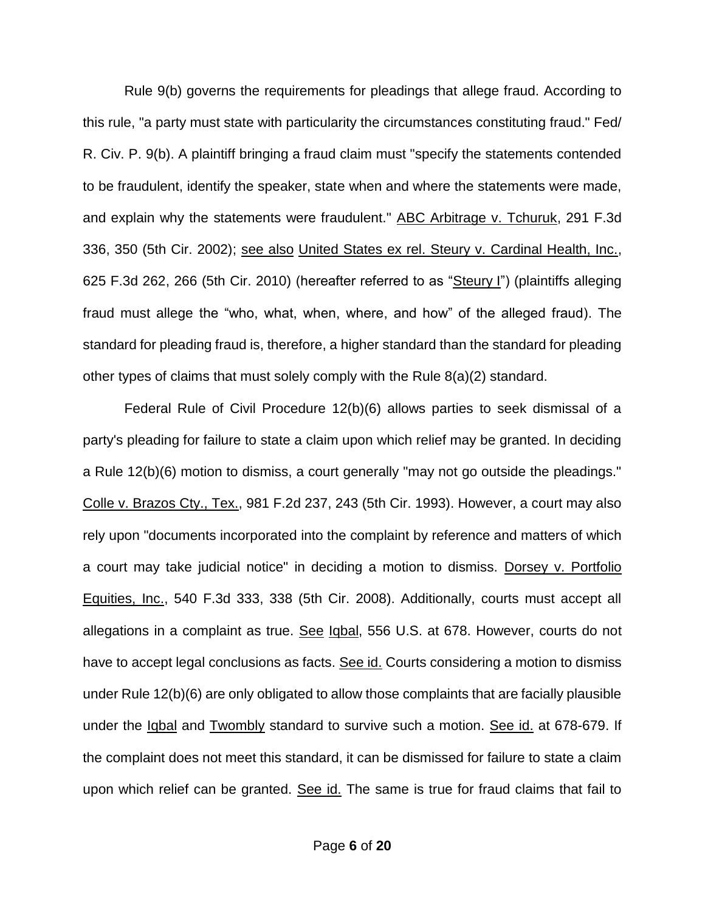Rule 9(b) governs the requirements for pleadings that allege fraud. According to this rule, "a party must state with particularity the circumstances constituting fraud." Fed/ R. Civ. P. 9(b). A plaintiff bringing a fraud claim must "specify the statements contended to be fraudulent, identify the speaker, state when and where the statements were made, and explain why the statements were fraudulent." ABC Arbitrage v. Tchuruk, 291 F.3d 336, 350 (5th Cir. 2002); see also United States ex rel. Steury v. Cardinal Health, Inc., 625 F.3d 262, 266 (5th Cir. 2010) (hereafter referred to as "Steury I") (plaintiffs alleging fraud must allege the "who, what, when, where, and how" of the alleged fraud). The standard for pleading fraud is, therefore, a higher standard than the standard for pleading other types of claims that must solely comply with the Rule 8(a)(2) standard.

Federal Rule of Civil Procedure 12(b)(6) allows parties to seek dismissal of a party's pleading for failure to state a claim upon which relief may be granted. In deciding a Rule 12(b)(6) motion to dismiss, a court generally "may not go outside the pleadings." Colle v. Brazos Cty., Tex., 981 F.2d 237, 243 (5th Cir. 1993). However, a court may also rely upon "documents incorporated into the complaint by reference and matters of which a court may take judicial notice" in deciding a motion to dismiss. Dorsey v. Portfolio Equities, Inc., 540 F.3d 333, 338 (5th Cir. 2008). Additionally, courts must accept all allegations in a complaint as true. See Iqbal, 556 U.S. at 678. However, courts do not have to accept legal conclusions as facts. See id. Courts considering a motion to dismiss under Rule 12(b)(6) are only obligated to allow those complaints that are facially plausible under the Iqbal and Twombly standard to survive such a motion. See id. at 678-679. If the complaint does not meet this standard, it can be dismissed for failure to state a claim upon which relief can be granted. See id. The same is true for fraud claims that fail to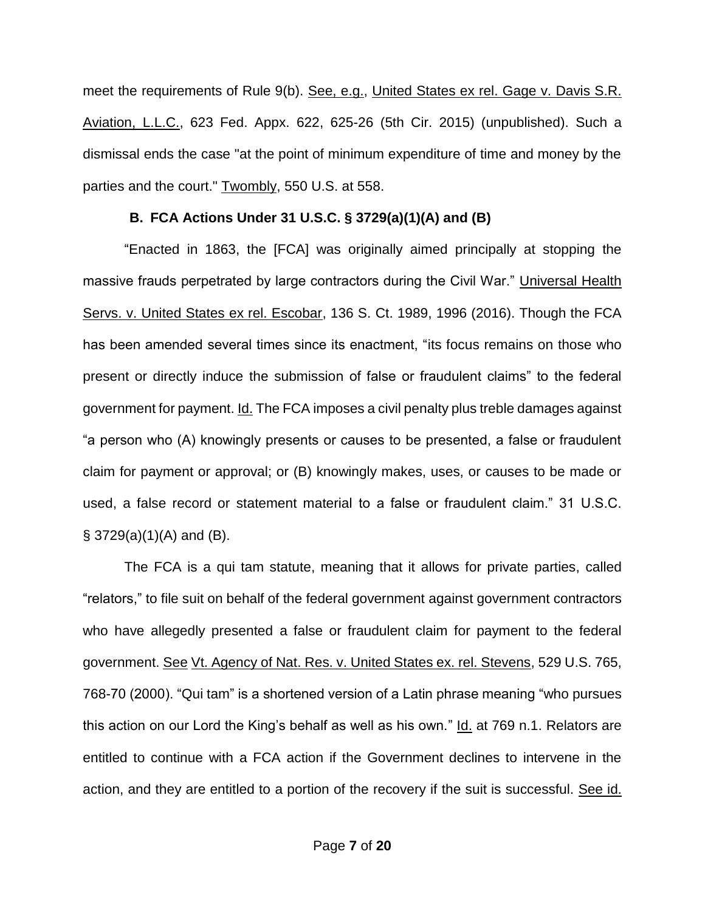meet the requirements of Rule 9(b). See, e.g., United States ex rel. Gage v. Davis S.R. Aviation, L.L.C., 623 Fed. Appx. 622, 625-26 (5th Cir. 2015) (unpublished). Such a dismissal ends the case "at the point of minimum expenditure of time and money by the parties and the court." Twombly, 550 U.S. at 558.

## **B. FCA Actions Under 31 U.S.C. § 3729(a)(1)(A) and (B)**

"Enacted in 1863, the [FCA] was originally aimed principally at stopping the massive frauds perpetrated by large contractors during the Civil War." Universal Health Servs. v. United States ex rel. Escobar, 136 S. Ct. 1989, 1996 (2016). Though the FCA has been amended several times since its enactment, "its focus remains on those who present or directly induce the submission of false or fraudulent claims" to the federal government for payment. Id. The FCA imposes a civil penalty plus treble damages against "a person who (A) knowingly presents or causes to be presented, a false or fraudulent claim for payment or approval; or (B) knowingly makes, uses, or causes to be made or used, a false record or statement material to a false or fraudulent claim." 31 U.S.C.  $\S$  3729(a)(1)(A) and (B).

The FCA is a qui tam statute, meaning that it allows for private parties, called "relators," to file suit on behalf of the federal government against government contractors who have allegedly presented a false or fraudulent claim for payment to the federal government. See Vt. Agency of Nat. Res. v. United States ex. rel. Stevens, 529 U.S. 765, 768-70 (2000). "Qui tam" is a shortened version of a Latin phrase meaning "who pursues this action on our Lord the King's behalf as well as his own." Id. at 769 n.1. Relators are entitled to continue with a FCA action if the Government declines to intervene in the action, and they are entitled to a portion of the recovery if the suit is successful. See id.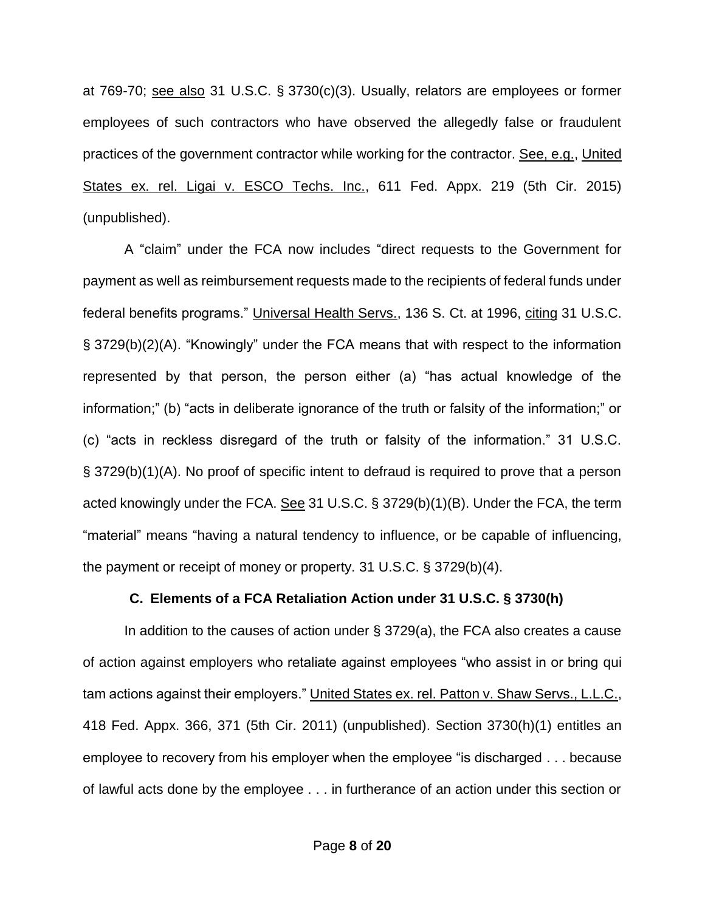at 769-70; see also 31 U.S.C. § 3730(c)(3). Usually, relators are employees or former employees of such contractors who have observed the allegedly false or fraudulent practices of the government contractor while working for the contractor. See, e.g., United States ex. rel. Ligai v. ESCO Techs. Inc., 611 Fed. Appx. 219 (5th Cir. 2015) (unpublished).

A "claim" under the FCA now includes "direct requests to the Government for payment as well as reimbursement requests made to the recipients of federal funds under federal benefits programs." Universal Health Servs., 136 S. Ct. at 1996, citing 31 U.S.C. § 3729(b)(2)(A). "Knowingly" under the FCA means that with respect to the information represented by that person, the person either (a) "has actual knowledge of the information;" (b) "acts in deliberate ignorance of the truth or falsity of the information;" or (c) "acts in reckless disregard of the truth or falsity of the information." 31 U.S.C. § 3729(b)(1)(A). No proof of specific intent to defraud is required to prove that a person acted knowingly under the FCA. See 31 U.S.C. § 3729(b)(1)(B). Under the FCA, the term "material" means "having a natural tendency to influence, or be capable of influencing, the payment or receipt of money or property. 31 U.S.C. § 3729(b)(4).

#### **C. Elements of a FCA Retaliation Action under 31 U.S.C. § 3730(h)**

In addition to the causes of action under § 3729(a), the FCA also creates a cause of action against employers who retaliate against employees "who assist in or bring qui tam actions against their employers." United States ex. rel. Patton v. Shaw Servs., L.L.C., 418 Fed. Appx. 366, 371 (5th Cir. 2011) (unpublished). Section 3730(h)(1) entitles an employee to recovery from his employer when the employee "is discharged . . . because of lawful acts done by the employee . . . in furtherance of an action under this section or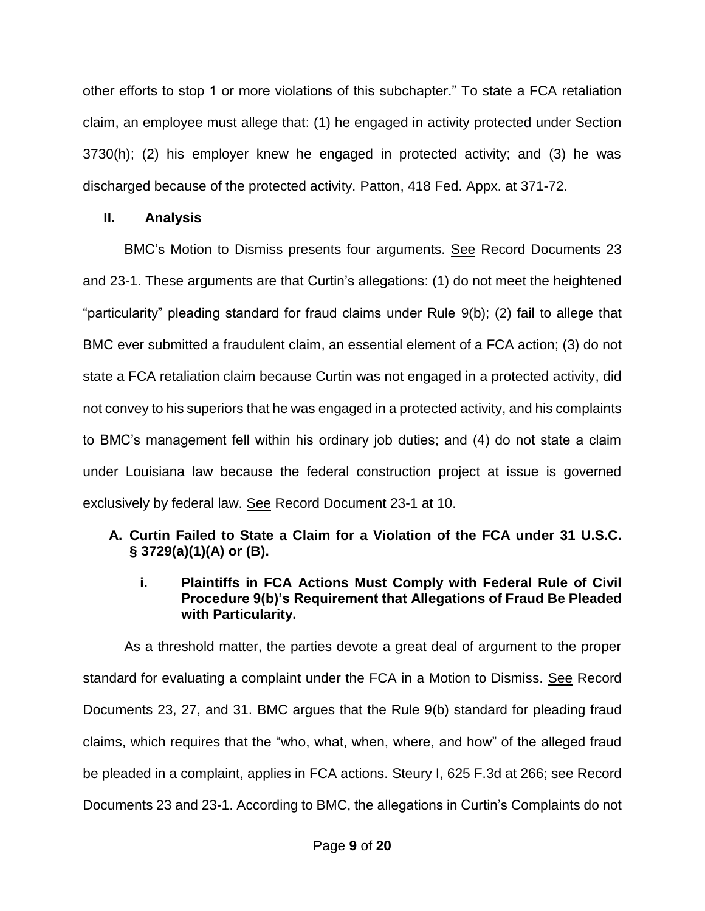other efforts to stop 1 or more violations of this subchapter." To state a FCA retaliation claim, an employee must allege that: (1) he engaged in activity protected under Section 3730(h); (2) his employer knew he engaged in protected activity; and (3) he was discharged because of the protected activity. Patton, 418 Fed. Appx. at 371-72.

## **II. Analysis**

BMC's Motion to Dismiss presents four arguments. See Record Documents 23 and 23-1. These arguments are that Curtin's allegations: (1) do not meet the heightened "particularity" pleading standard for fraud claims under Rule 9(b); (2) fail to allege that BMC ever submitted a fraudulent claim, an essential element of a FCA action; (3) do not state a FCA retaliation claim because Curtin was not engaged in a protected activity, did not convey to his superiors that he was engaged in a protected activity, and his complaints to BMC's management fell within his ordinary job duties; and (4) do not state a claim under Louisiana law because the federal construction project at issue is governed exclusively by federal law. See Record Document 23-1 at 10.

# **A. Curtin Failed to State a Claim for a Violation of the FCA under 31 U.S.C. § 3729(a)(1)(A) or (B).**

# **i. Plaintiffs in FCA Actions Must Comply with Federal Rule of Civil Procedure 9(b)'s Requirement that Allegations of Fraud Be Pleaded with Particularity.**

As a threshold matter, the parties devote a great deal of argument to the proper standard for evaluating a complaint under the FCA in a Motion to Dismiss. See Record Documents 23, 27, and 31. BMC argues that the Rule 9(b) standard for pleading fraud claims, which requires that the "who, what, when, where, and how" of the alleged fraud be pleaded in a complaint, applies in FCA actions. Steury I, 625 F.3d at 266; see Record Documents 23 and 23-1. According to BMC, the allegations in Curtin's Complaints do not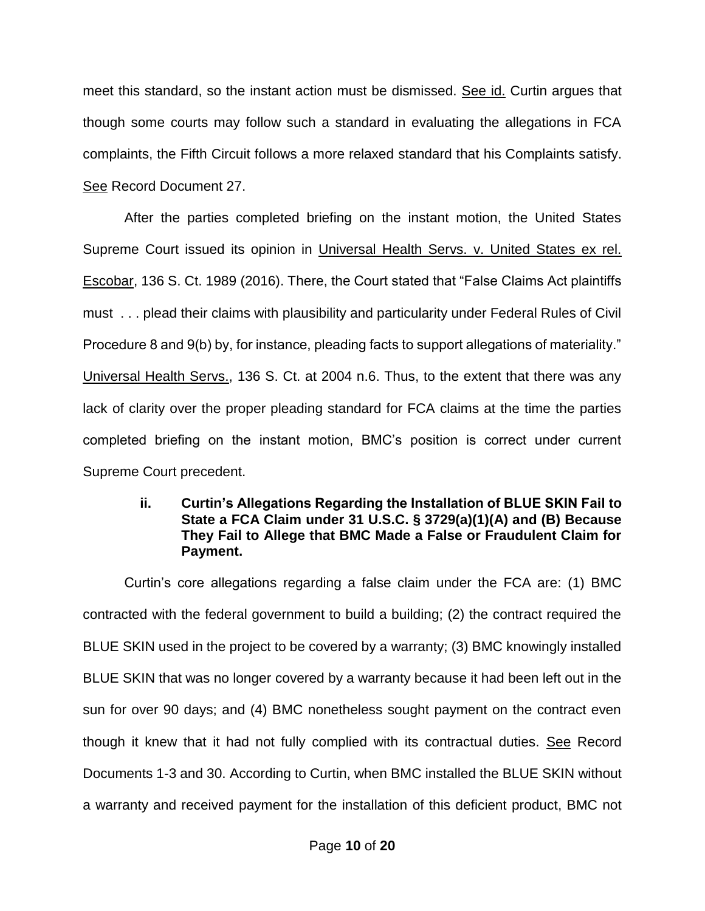meet this standard, so the instant action must be dismissed. See id. Curtin argues that though some courts may follow such a standard in evaluating the allegations in FCA complaints, the Fifth Circuit follows a more relaxed standard that his Complaints satisfy. See Record Document 27.

After the parties completed briefing on the instant motion, the United States Supreme Court issued its opinion in Universal Health Servs. v. United States ex rel. Escobar, 136 S. Ct. 1989 (2016). There, the Court stated that "False Claims Act plaintiffs must . . . plead their claims with plausibility and particularity under Federal Rules of Civil Procedure 8 and 9(b) by, for instance, pleading facts to support allegations of materiality." Universal Health Servs., 136 S. Ct. at 2004 n.6. Thus, to the extent that there was any lack of clarity over the proper pleading standard for FCA claims at the time the parties completed briefing on the instant motion, BMC's position is correct under current Supreme Court precedent.

## **ii. Curtin's Allegations Regarding the Installation of BLUE SKIN Fail to State a FCA Claim under 31 U.S.C. § 3729(a)(1)(A) and (B) Because They Fail to Allege that BMC Made a False or Fraudulent Claim for Payment.**

Curtin's core allegations regarding a false claim under the FCA are: (1) BMC contracted with the federal government to build a building; (2) the contract required the BLUE SKIN used in the project to be covered by a warranty; (3) BMC knowingly installed BLUE SKIN that was no longer covered by a warranty because it had been left out in the sun for over 90 days; and (4) BMC nonetheless sought payment on the contract even though it knew that it had not fully complied with its contractual duties. See Record Documents 1-3 and 30. According to Curtin, when BMC installed the BLUE SKIN without a warranty and received payment for the installation of this deficient product, BMC not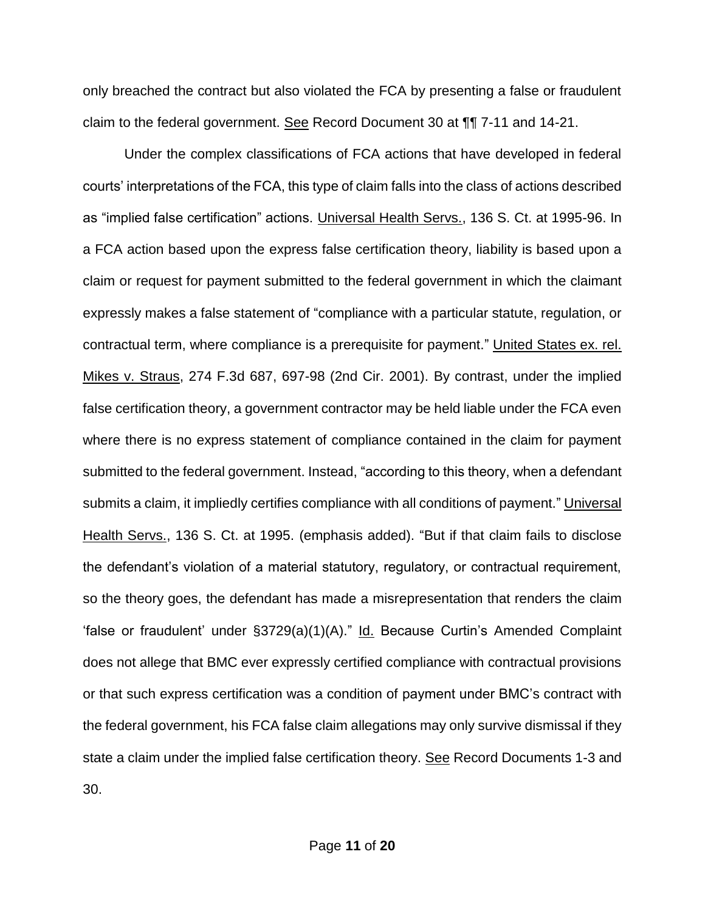only breached the contract but also violated the FCA by presenting a false or fraudulent claim to the federal government. See Record Document 30 at ¶¶ 7-11 and 14-21.

Under the complex classifications of FCA actions that have developed in federal courts' interpretations of the FCA, this type of claim falls into the class of actions described as "implied false certification" actions. Universal Health Servs., 136 S. Ct. at 1995-96. In a FCA action based upon the express false certification theory, liability is based upon a claim or request for payment submitted to the federal government in which the claimant expressly makes a false statement of "compliance with a particular statute, regulation, or contractual term, where compliance is a prerequisite for payment." United States ex. rel. Mikes v. Straus, 274 F.3d 687, 697-98 (2nd Cir. 2001). By contrast, under the implied false certification theory, a government contractor may be held liable under the FCA even where there is no express statement of compliance contained in the claim for payment submitted to the federal government. Instead, "according to this theory, when a defendant submits a claim, it impliedly certifies compliance with all conditions of payment." Universal Health Servs., 136 S. Ct. at 1995. (emphasis added). "But if that claim fails to disclose the defendant's violation of a material statutory, regulatory, or contractual requirement, so the theory goes, the defendant has made a misrepresentation that renders the claim 'false or fraudulent' under §3729(a)(1)(A)." Id. Because Curtin's Amended Complaint does not allege that BMC ever expressly certified compliance with contractual provisions or that such express certification was a condition of payment under BMC's contract with the federal government, his FCA false claim allegations may only survive dismissal if they state a claim under the implied false certification theory. See Record Documents 1-3 and 30.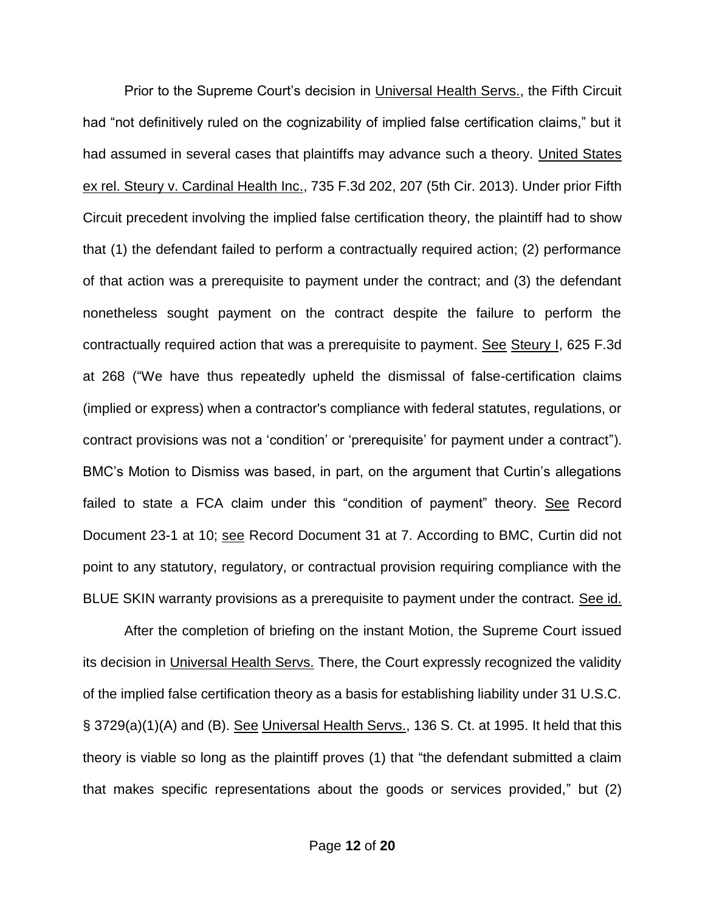Prior to the Supreme Court's decision in Universal Health Servs., the Fifth Circuit had "not definitively ruled on the cognizability of implied false certification claims," but it had assumed in several cases that plaintiffs may advance such a theory. United States ex rel. Steury v. Cardinal Health Inc., 735 F.3d 202, 207 (5th Cir. 2013). Under prior Fifth Circuit precedent involving the implied false certification theory, the plaintiff had to show that (1) the defendant failed to perform a contractually required action; (2) performance of that action was a prerequisite to payment under the contract; and (3) the defendant nonetheless sought payment on the contract despite the failure to perform the contractually required action that was a prerequisite to payment. See Steury I, 625 F.3d at 268 ("We have thus repeatedly upheld the dismissal of false-certification claims (implied or express) when a contractor's compliance with federal statutes, regulations, or contract provisions was not a 'condition' or 'prerequisite' for payment under a contract"). BMC's Motion to Dismiss was based, in part, on the argument that Curtin's allegations failed to state a FCA claim under this "condition of payment" theory. See Record Document 23-1 at 10; see Record Document 31 at 7. According to BMC, Curtin did not point to any statutory, regulatory, or contractual provision requiring compliance with the BLUE SKIN warranty provisions as a prerequisite to payment under the contract. See id.

After the completion of briefing on the instant Motion, the Supreme Court issued its decision in Universal Health Servs. There, the Court expressly recognized the validity of the implied false certification theory as a basis for establishing liability under 31 U.S.C. § 3729(a)(1)(A) and (B). See Universal Health Servs., 136 S. Ct. at 1995. It held that this theory is viable so long as the plaintiff proves (1) that "the defendant submitted a claim that makes specific representations about the goods or services provided," but (2)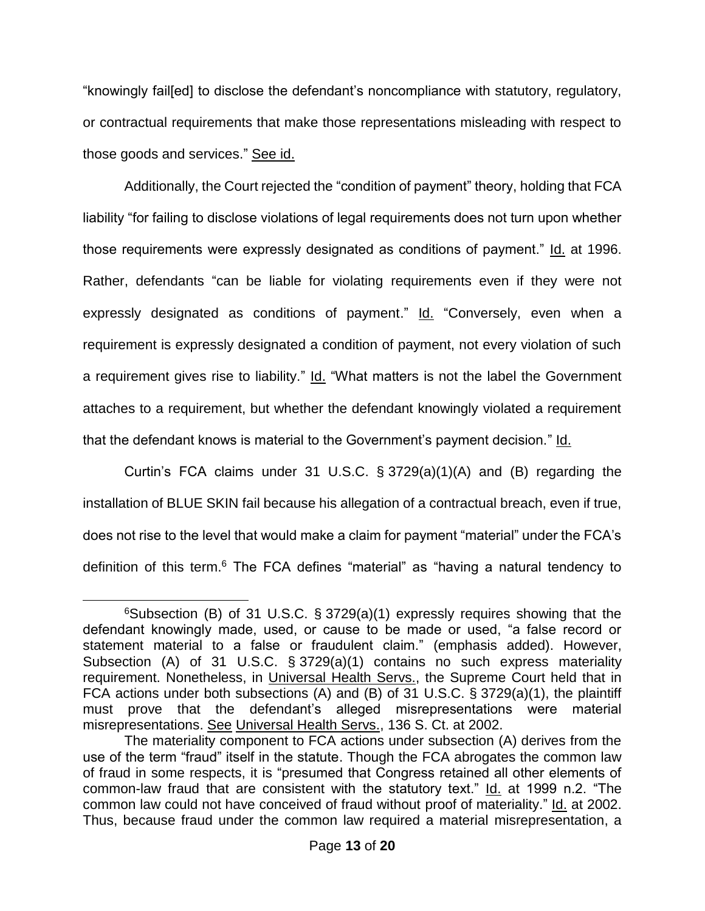"knowingly fail[ed] to disclose the defendant's noncompliance with statutory, regulatory, or contractual requirements that make those representations misleading with respect to those goods and services." See id.

Additionally, the Court rejected the "condition of payment" theory, holding that FCA liability "for failing to disclose violations of legal requirements does not turn upon whether those requirements were expressly designated as conditions of payment." Id. at 1996. Rather, defendants "can be liable for violating requirements even if they were not expressly designated as conditions of payment." Id. "Conversely, even when a requirement is expressly designated a condition of payment, not every violation of such a requirement gives rise to liability." Id. "What matters is not the label the Government attaches to a requirement, but whether the defendant knowingly violated a requirement that the defendant knows is material to the Government's payment decision." Id.

Curtin's FCA claims under 31 U.S.C. § 3729(a)(1)(A) and (B) regarding the installation of BLUE SKIN fail because his allegation of a contractual breach, even if true, does not rise to the level that would make a claim for payment "material" under the FCA's definition of this term.<sup>6</sup> The FCA defines "material" as "having a natural tendency to

 $\overline{a}$ 

 $6$ Subsection (B) of 31 U.S.C. § 3729(a)(1) expressly requires showing that the defendant knowingly made, used, or cause to be made or used, "a false record or statement material to a false or fraudulent claim." (emphasis added). However, Subsection (A) of 31 U.S.C. § 3729(a)(1) contains no such express materiality requirement. Nonetheless, in Universal Health Servs., the Supreme Court held that in FCA actions under both subsections (A) and (B) of 31 U.S.C. § 3729(a)(1), the plaintiff must prove that the defendant's alleged misrepresentations were material misrepresentations. See Universal Health Servs., 136 S. Ct. at 2002.

The materiality component to FCA actions under subsection (A) derives from the use of the term "fraud" itself in the statute. Though the FCA abrogates the common law of fraud in some respects, it is "presumed that Congress retained all other elements of common-law fraud that are consistent with the statutory text." Id. at 1999 n.2. "The common law could not have conceived of fraud without proof of materiality." Id. at 2002. Thus, because fraud under the common law required a material misrepresentation, a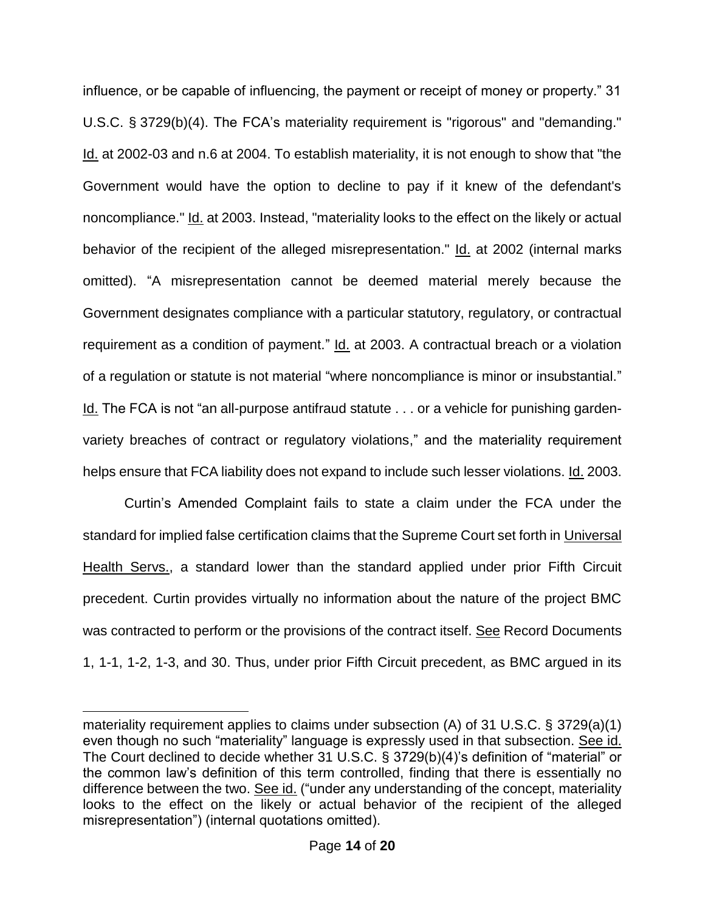influence, or be capable of influencing, the payment or receipt of money or property." 31 U.S.C. § 3729(b)(4). The FCA's materiality requirement is "rigorous" and "demanding." Id. at 2002-03 and n.6 at 2004. To establish materiality, it is not enough to show that "the Government would have the option to decline to pay if it knew of the defendant's noncompliance." Id. at 2003. Instead, "materiality looks to the effect on the likely or actual behavior of the recipient of the alleged misrepresentation." Id. at 2002 (internal marks omitted). "A misrepresentation cannot be deemed material merely because the Government designates compliance with a particular statutory, regulatory, or contractual requirement as a condition of payment." Id. at 2003. A contractual breach or a violation of a regulation or statute is not material "where noncompliance is minor or insubstantial." Id. The FCA is not "an all-purpose antifraud statute . . . or a vehicle for punishing gardenvariety breaches of contract or regulatory violations," and the materiality requirement helps ensure that FCA liability does not expand to include such lesser violations. Id. 2003.

Curtin's Amended Complaint fails to state a claim under the FCA under the standard for implied false certification claims that the Supreme Court set forth in Universal Health Servs., a standard lower than the standard applied under prior Fifth Circuit precedent. Curtin provides virtually no information about the nature of the project BMC was contracted to perform or the provisions of the contract itself. See Record Documents 1, 1-1, 1-2, 1-3, and 30. Thus, under prior Fifth Circuit precedent, as BMC argued in its

 $\overline{a}$ 

materiality requirement applies to claims under subsection (A) of 31 U.S.C. § 3729(a)(1) even though no such "materiality" language is expressly used in that subsection. See id. The Court declined to decide whether 31 U.S.C. § 3729(b)(4)'s definition of "material" or the common law's definition of this term controlled, finding that there is essentially no difference between the two. See id. ("under any understanding of the concept, materiality looks to the effect on the likely or actual behavior of the recipient of the alleged misrepresentation") (internal quotations omitted).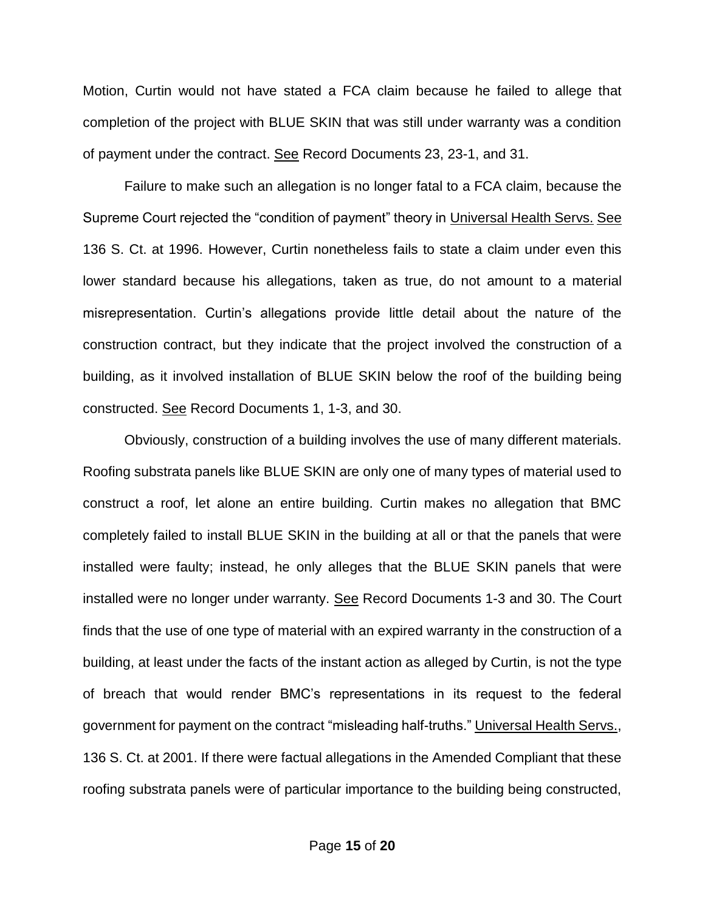Motion, Curtin would not have stated a FCA claim because he failed to allege that completion of the project with BLUE SKIN that was still under warranty was a condition of payment under the contract. See Record Documents 23, 23-1, and 31.

Failure to make such an allegation is no longer fatal to a FCA claim, because the Supreme Court rejected the "condition of payment" theory in Universal Health Servs. See 136 S. Ct. at 1996. However, Curtin nonetheless fails to state a claim under even this lower standard because his allegations, taken as true, do not amount to a material misrepresentation. Curtin's allegations provide little detail about the nature of the construction contract, but they indicate that the project involved the construction of a building, as it involved installation of BLUE SKIN below the roof of the building being constructed. See Record Documents 1, 1-3, and 30.

Obviously, construction of a building involves the use of many different materials. Roofing substrata panels like BLUE SKIN are only one of many types of material used to construct a roof, let alone an entire building. Curtin makes no allegation that BMC completely failed to install BLUE SKIN in the building at all or that the panels that were installed were faulty; instead, he only alleges that the BLUE SKIN panels that were installed were no longer under warranty. See Record Documents 1-3 and 30. The Court finds that the use of one type of material with an expired warranty in the construction of a building, at least under the facts of the instant action as alleged by Curtin, is not the type of breach that would render BMC's representations in its request to the federal government for payment on the contract "misleading half-truths." Universal Health Servs., 136 S. Ct. at 2001. If there were factual allegations in the Amended Compliant that these roofing substrata panels were of particular importance to the building being constructed,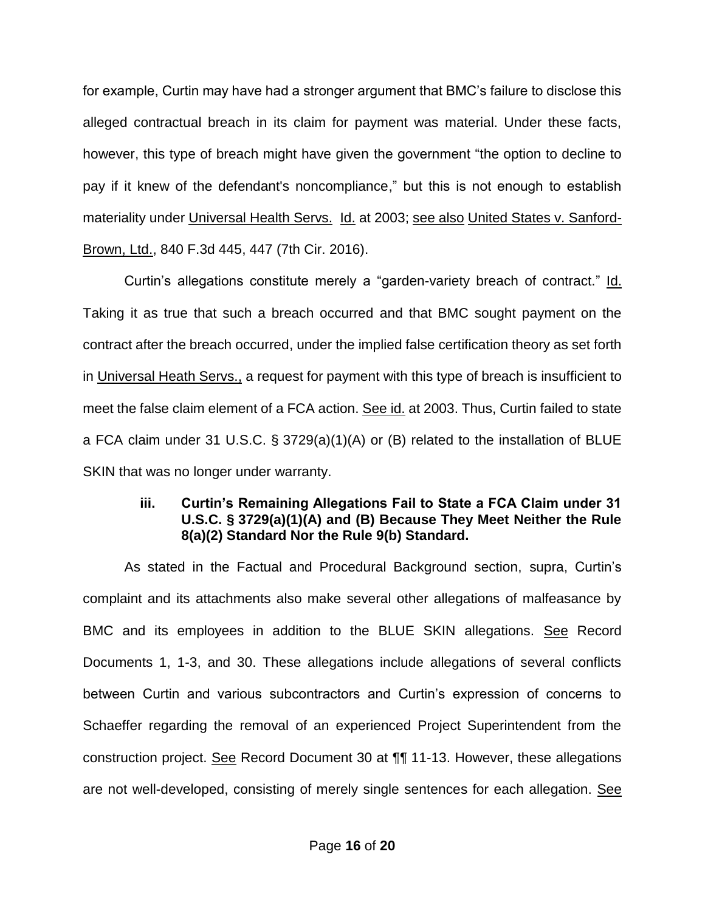for example, Curtin may have had a stronger argument that BMC's failure to disclose this alleged contractual breach in its claim for payment was material. Under these facts, however, this type of breach might have given the government "the option to decline to pay if it knew of the defendant's noncompliance," but this is not enough to establish materiality under Universal Health Servs. Id. at 2003; see also United States v. Sanford-Brown, Ltd., 840 F.3d 445, 447 (7th Cir. 2016).

Curtin's allegations constitute merely a "garden-variety breach of contract." Id. Taking it as true that such a breach occurred and that BMC sought payment on the contract after the breach occurred, under the implied false certification theory as set forth in Universal Heath Servs., a request for payment with this type of breach is insufficient to meet the false claim element of a FCA action. See id. at 2003. Thus, Curtin failed to state a FCA claim under 31 U.S.C. § 3729(a)(1)(A) or (B) related to the installation of BLUE SKIN that was no longer under warranty.

## **iii. Curtin's Remaining Allegations Fail to State a FCA Claim under 31 U.S.C. § 3729(a)(1)(A) and (B) Because They Meet Neither the Rule 8(a)(2) Standard Nor the Rule 9(b) Standard.**

As stated in the Factual and Procedural Background section, supra, Curtin's complaint and its attachments also make several other allegations of malfeasance by BMC and its employees in addition to the BLUE SKIN allegations. See Record Documents 1, 1-3, and 30. These allegations include allegations of several conflicts between Curtin and various subcontractors and Curtin's expression of concerns to Schaeffer regarding the removal of an experienced Project Superintendent from the construction project. See Record Document 30 at ¶¶ 11-13. However, these allegations are not well-developed, consisting of merely single sentences for each allegation. See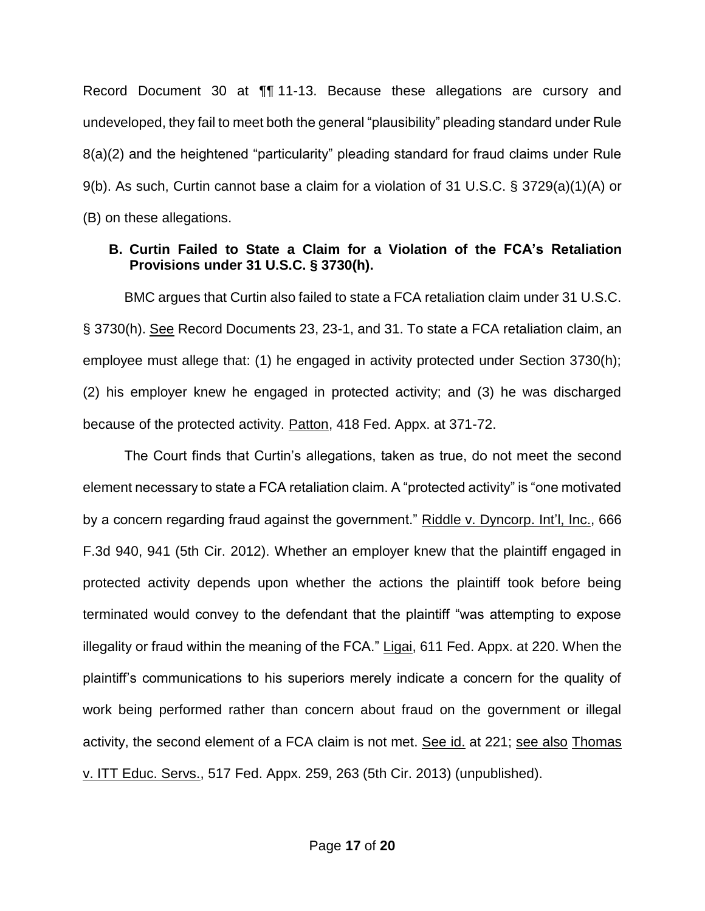Record Document 30 at ¶¶ 11-13. Because these allegations are cursory and undeveloped, they fail to meet both the general "plausibility" pleading standard under Rule 8(a)(2) and the heightened "particularity" pleading standard for fraud claims under Rule 9(b). As such, Curtin cannot base a claim for a violation of 31 U.S.C. § 3729(a)(1)(A) or (B) on these allegations.

## **B. Curtin Failed to State a Claim for a Violation of the FCA's Retaliation Provisions under 31 U.S.C. § 3730(h).**

BMC argues that Curtin also failed to state a FCA retaliation claim under 31 U.S.C. § 3730(h). See Record Documents 23, 23-1, and 31. To state a FCA retaliation claim, an employee must allege that: (1) he engaged in activity protected under Section 3730(h); (2) his employer knew he engaged in protected activity; and (3) he was discharged because of the protected activity. Patton, 418 Fed. Appx. at 371-72.

The Court finds that Curtin's allegations, taken as true, do not meet the second element necessary to state a FCA retaliation claim. A "protected activity" is "one motivated by a concern regarding fraud against the government." Riddle v. Dyncorp. Int'l, Inc., 666 F.3d 940, 941 (5th Cir. 2012). Whether an employer knew that the plaintiff engaged in protected activity depends upon whether the actions the plaintiff took before being terminated would convey to the defendant that the plaintiff "was attempting to expose illegality or fraud within the meaning of the FCA." Ligai, 611 Fed. Appx. at 220. When the plaintiff's communications to his superiors merely indicate a concern for the quality of work being performed rather than concern about fraud on the government or illegal activity, the second element of a FCA claim is not met. See id. at 221; see also Thomas v. ITT Educ. Servs., 517 Fed. Appx. 259, 263 (5th Cir. 2013) (unpublished).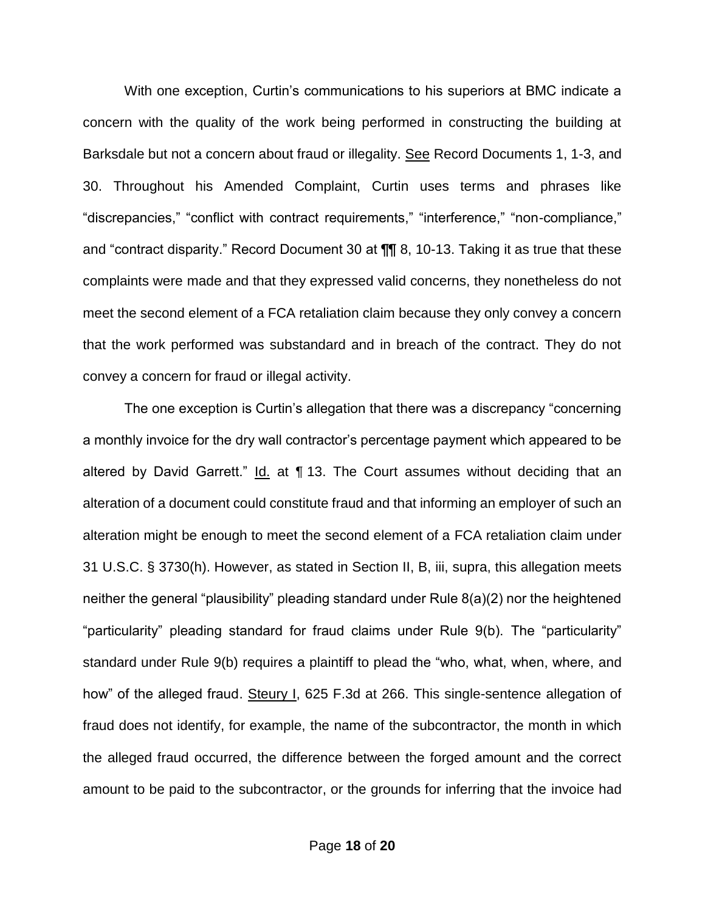With one exception, Curtin's communications to his superiors at BMC indicate a concern with the quality of the work being performed in constructing the building at Barksdale but not a concern about fraud or illegality. See Record Documents 1, 1-3, and 30. Throughout his Amended Complaint, Curtin uses terms and phrases like "discrepancies," "conflict with contract requirements," "interference," "non-compliance," and "contract disparity." Record Document 30 at ¶¶ 8, 10-13. Taking it as true that these complaints were made and that they expressed valid concerns, they nonetheless do not meet the second element of a FCA retaliation claim because they only convey a concern that the work performed was substandard and in breach of the contract. They do not convey a concern for fraud or illegal activity.

The one exception is Curtin's allegation that there was a discrepancy "concerning a monthly invoice for the dry wall contractor's percentage payment which appeared to be altered by David Garrett." Id. at ¶ 13. The Court assumes without deciding that an alteration of a document could constitute fraud and that informing an employer of such an alteration might be enough to meet the second element of a FCA retaliation claim under 31 U.S.C. § 3730(h). However, as stated in Section II, B, iii, supra, this allegation meets neither the general "plausibility" pleading standard under Rule 8(a)(2) nor the heightened "particularity" pleading standard for fraud claims under Rule 9(b). The "particularity" standard under Rule 9(b) requires a plaintiff to plead the "who, what, when, where, and how" of the alleged fraud. Steury I, 625 F.3d at 266. This single-sentence allegation of fraud does not identify, for example, the name of the subcontractor, the month in which the alleged fraud occurred, the difference between the forged amount and the correct amount to be paid to the subcontractor, or the grounds for inferring that the invoice had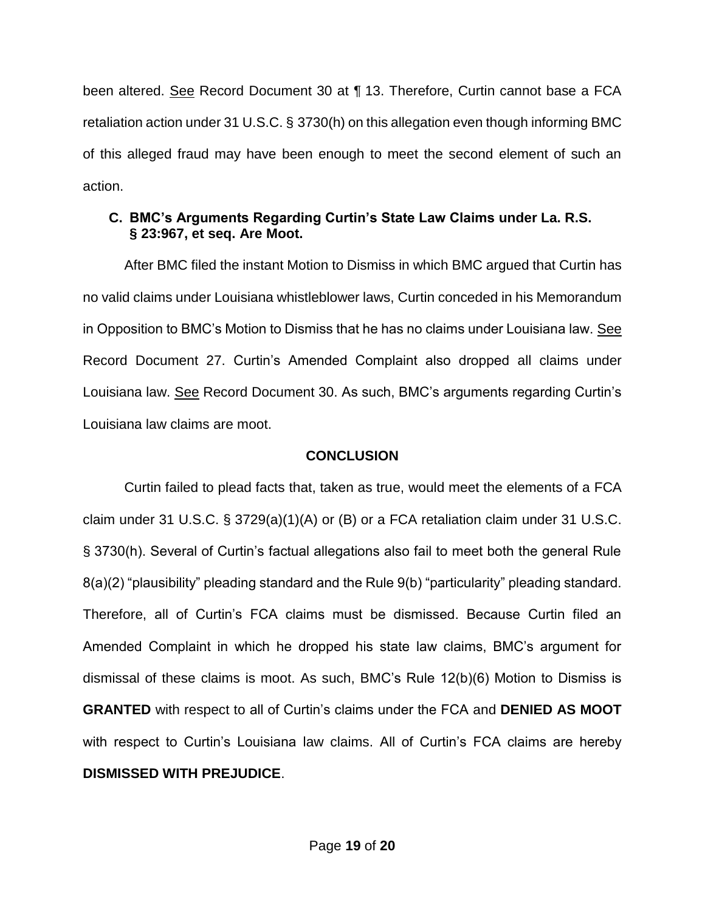been altered. See Record Document 30 at ¶ 13. Therefore, Curtin cannot base a FCA retaliation action under 31 U.S.C. § 3730(h) on this allegation even though informing BMC of this alleged fraud may have been enough to meet the second element of such an action.

## **C. BMC's Arguments Regarding Curtin's State Law Claims under La. R.S. § 23:967, et seq. Are Moot.**

After BMC filed the instant Motion to Dismiss in which BMC argued that Curtin has no valid claims under Louisiana whistleblower laws, Curtin conceded in his Memorandum in Opposition to BMC's Motion to Dismiss that he has no claims under Louisiana law. See Record Document 27. Curtin's Amended Complaint also dropped all claims under Louisiana law. See Record Document 30. As such, BMC's arguments regarding Curtin's Louisiana law claims are moot.

# **CONCLUSION**

 Curtin failed to plead facts that, taken as true, would meet the elements of a FCA claim under 31 U.S.C. § 3729(a)(1)(A) or (B) or a FCA retaliation claim under 31 U.S.C. § 3730(h). Several of Curtin's factual allegations also fail to meet both the general Rule 8(a)(2) "plausibility" pleading standard and the Rule 9(b) "particularity" pleading standard. Therefore, all of Curtin's FCA claims must be dismissed. Because Curtin filed an Amended Complaint in which he dropped his state law claims, BMC's argument for dismissal of these claims is moot. As such, BMC's Rule 12(b)(6) Motion to Dismiss is **GRANTED** with respect to all of Curtin's claims under the FCA and **DENIED AS MOOT** with respect to Curtin's Louisiana law claims. All of Curtin's FCA claims are hereby **DISMISSED WITH PREJUDICE**.